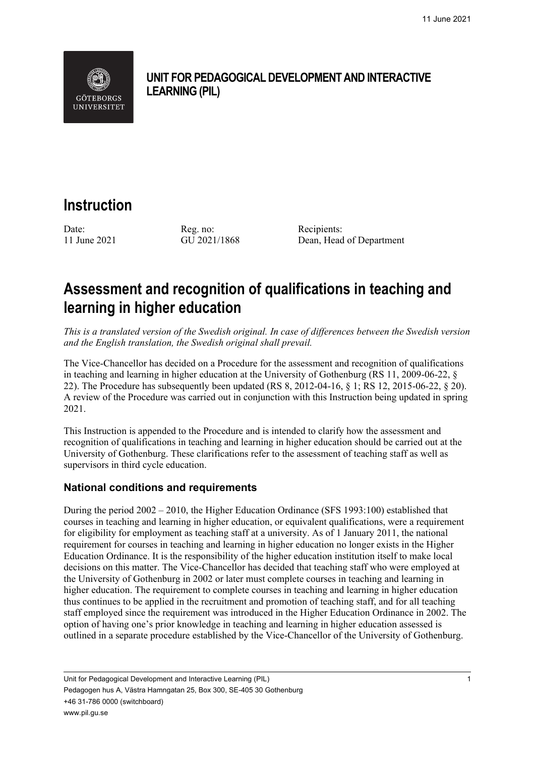

# **UNIT FOR PEDAGOGICAL DEVELOPMENT AND INTERACTIVE LEARNING (PIL)**

# **Instruction**

Date: Reg. no: Recipients:

11 June 2021 GU 2021/1868 Dean, Head of Department

# **Assessment and recognition of qualifications in teaching and learning in higher education**

*This is a translated version of the Swedish original. In case of differences between the Swedish version and the English translation, the Swedish original shall prevail.*

The Vice-Chancellor has decided on a Procedure for the assessment and recognition of qualifications in teaching and learning in higher education at the University of Gothenburg (RS 11, 2009-06-22, § 22). The Procedure has subsequently been updated (RS 8, 2012-04-16, § 1; RS 12, 2015-06-22, § 20). A review of the Procedure was carried out in conjunction with this Instruction being updated in spring 2021.

This Instruction is appended to the Procedure and is intended to clarify how the assessment and recognition of qualifications in teaching and learning in higher education should be carried out at the University of Gothenburg. These clarifications refer to the assessment of teaching staff as well as supervisors in third cycle education.

# **National conditions and requirements**

During the period 2002 – 2010, the Higher Education Ordinance (SFS 1993:100) established that courses in teaching and learning in higher education, or equivalent qualifications, were a requirement for eligibility for employment as teaching staff at a university. As of 1 January 2011, the national requirement for courses in teaching and learning in higher education no longer exists in the Higher Education Ordinance. It is the responsibility of the higher education institution itself to make local decisions on this matter. The Vice-Chancellor has decided that teaching staff who were employed at the University of Gothenburg in 2002 or later must complete courses in teaching and learning in higher education. The requirement to complete courses in teaching and learning in higher education thus continues to be applied in the recruitment and promotion of teaching staff, and for all teaching staff employed since the requirement was introduced in the Higher Education Ordinance in 2002. The option of having one's prior knowledge in teaching and learning in higher education assessed is outlined in a separate procedure established by the Vice-Chancellor of the University of Gothenburg.

Unit for Pedagogical Development and Interactive Learning (PIL) 1 Pedagogen hus A, Västra Hamngatan 25, Box 300, SE-405 30 Gothenburg +46 31-786 0000 (switchboard) www.pil.gu.se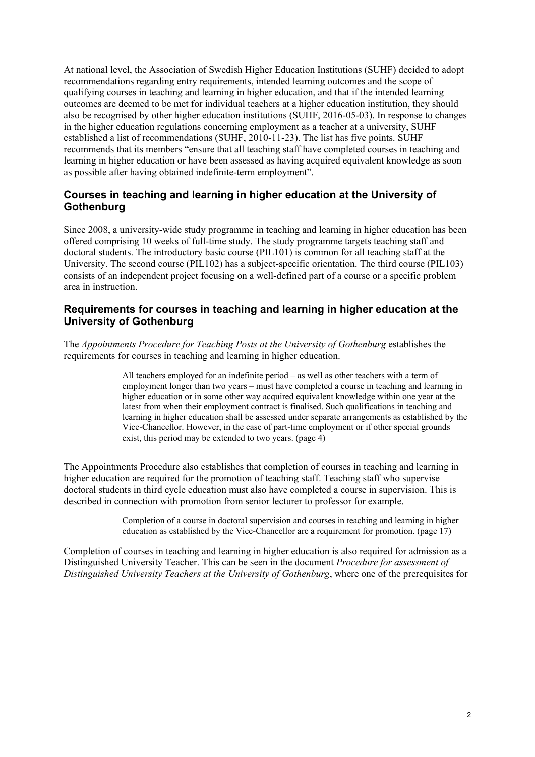At national level, the Association of Swedish Higher Education Institutions (SUHF) decided to adopt recommendations regarding entry requirements, intended learning outcomes and the scope of qualifying courses in teaching and learning in higher education, and that if the intended learning outcomes are deemed to be met for individual teachers at a higher education institution, they should also be recognised by other higher education institutions (SUHF, 2016-05-03). In response to changes in the higher education regulations concerning employment as a teacher at a university, SUHF established a list of recommendations (SUHF, 2010-11-23). The list has five points. SUHF recommends that its members "ensure that all teaching staff have completed courses in teaching and learning in higher education or have been assessed as having acquired equivalent knowledge as soon as possible after having obtained indefinite-term employment".

# **Courses in teaching and learning in higher education at the University of Gothenburg**

Since 2008, a university-wide study programme in teaching and learning in higher education has been offered comprising 10 weeks of full-time study. The study programme targets teaching staff and doctoral students. The introductory basic course (PIL101) is common for all teaching staff at the University. The second course (PIL102) has a subject-specific orientation. The third course (PIL103) consists of an independent project focusing on a well-defined part of a course or a specific problem area in instruction.

# **Requirements for courses in teaching and learning in higher education at the University of Gothenburg**

The *Appointments Procedure for Teaching Posts at the University of Gothenburg* establishes the requirements for courses in teaching and learning in higher education.

> All teachers employed for an indefinite period – as well as other teachers with a term of employment longer than two years – must have completed a course in teaching and learning in higher education or in some other way acquired equivalent knowledge within one year at the latest from when their employment contract is finalised. Such qualifications in teaching and learning in higher education shall be assessed under separate arrangements as established by the Vice-Chancellor. However, in the case of part-time employment or if other special grounds exist, this period may be extended to two years. (page 4)

The Appointments Procedure also establishes that completion of courses in teaching and learning in higher education are required for the promotion of teaching staff. Teaching staff who supervise doctoral students in third cycle education must also have completed a course in supervision. This is described in connection with promotion from senior lecturer to professor for example.

> Completion of a course in doctoral supervision and courses in teaching and learning in higher education as established by the Vice-Chancellor are a requirement for promotion. (page 17)

Completion of courses in teaching and learning in higher education is also required for admission as a Distinguished University Teacher. This can be seen in the document *Procedure for assessment of Distinguished University Teachers at the University of Gothenburg*, where one of the prerequisites for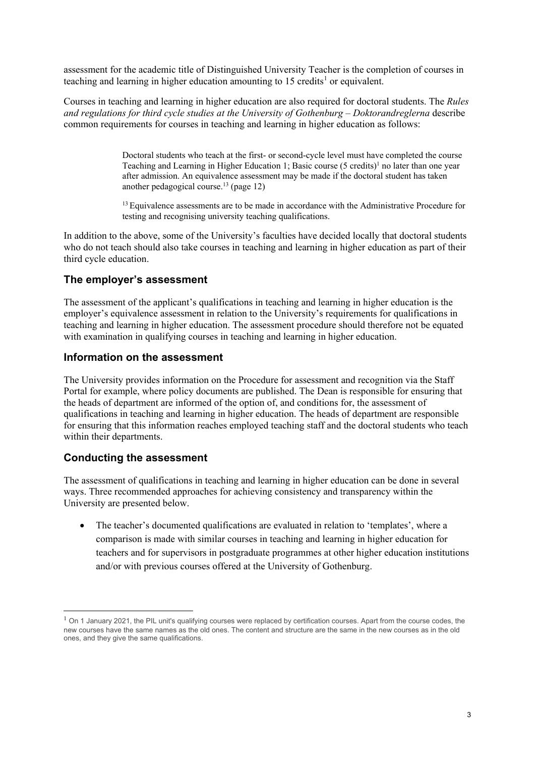assessment for the academic title of Distinguished University Teacher is the completion of courses in teaching and learning in higher education amounting to  $15$  $15$  credits<sup>1</sup> or equivalent.

Courses in teaching and learning in higher education are also required for doctoral students. The *Rules and regulations for third cycle studies at the University of Gothenburg – Doktorandreglerna* describe common requirements for courses in teaching and learning in higher education as follows:

> Doctoral students who teach at the first- or second-cycle level must have completed the course Teaching and Learning in Higher Education 1; Basic course  $(5 \text{ credits})^1$  no later than one year after admission. An equivalence assessment may be made if the doctoral student has taken another pedagogical course.<sup>13</sup> (page 12)

> <sup>13</sup> Equivalence assessments are to be made in accordance with the Administrative Procedure for testing and recognising university teaching qualifications.

In addition to the above, some of the University's faculties have decided locally that doctoral students who do not teach should also take courses in teaching and learning in higher education as part of their third cycle education.

# **The employer's assessment**

The assessment of the applicant's qualifications in teaching and learning in higher education is the employer's equivalence assessment in relation to the University's requirements for qualifications in teaching and learning in higher education. The assessment procedure should therefore not be equated with examination in qualifying courses in teaching and learning in higher education.

#### **Information on the assessment**

The University provides information on the Procedure for assessment and recognition via the Staff Portal for example, where policy documents are published. The Dean is responsible for ensuring that the heads of department are informed of the option of, and conditions for, the assessment of qualifications in teaching and learning in higher education. The heads of department are responsible for ensuring that this information reaches employed teaching staff and the doctoral students who teach within their departments.

# **Conducting the assessment**

The assessment of qualifications in teaching and learning in higher education can be done in several ways. Three recommended approaches for achieving consistency and transparency within the University are presented below.

• The teacher's documented qualifications are evaluated in relation to 'templates', where a comparison is made with similar courses in teaching and learning in higher education for teachers and for supervisors in postgraduate programmes at other higher education institutions and/or with previous courses offered at the University of Gothenburg.

<span id="page-2-0"></span> $<sup>1</sup>$  On 1 January 2021, the PIL unit's qualifying courses were replaced by certification courses. Apart from the course codes, the</sup> new courses have the same names as the old ones. The content and structure are the same in the new courses as in the old ones, and they give the same qualifications.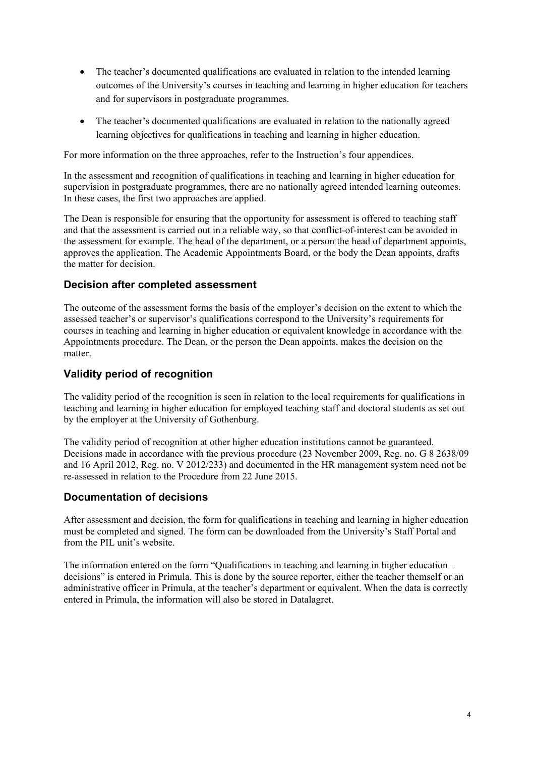- The teacher's documented qualifications are evaluated in relation to the intended learning outcomes of the University's courses in teaching and learning in higher education for teachers and for supervisors in postgraduate programmes.
- The teacher's documented qualifications are evaluated in relation to the nationally agreed learning objectives for qualifications in teaching and learning in higher education.

For more information on the three approaches, refer to the Instruction's four appendices.

In the assessment and recognition of qualifications in teaching and learning in higher education for supervision in postgraduate programmes, there are no nationally agreed intended learning outcomes. In these cases, the first two approaches are applied.

The Dean is responsible for ensuring that the opportunity for assessment is offered to teaching staff and that the assessment is carried out in a reliable way, so that conflict-of-interest can be avoided in the assessment for example. The head of the department, or a person the head of department appoints, approves the application. The Academic Appointments Board, or the body the Dean appoints, drafts the matter for decision.

### **Decision after completed assessment**

The outcome of the assessment forms the basis of the employer's decision on the extent to which the assessed teacher's or supervisor's qualifications correspond to the University's requirements for courses in teaching and learning in higher education or equivalent knowledge in accordance with the Appointments procedure. The Dean, or the person the Dean appoints, makes the decision on the matter.

# **Validity period of recognition**

The validity period of the recognition is seen in relation to the local requirements for qualifications in teaching and learning in higher education for employed teaching staff and doctoral students as set out by the employer at the University of Gothenburg.

The validity period of recognition at other higher education institutions cannot be guaranteed. Decisions made in accordance with the previous procedure (23 November 2009, Reg. no. G 8 2638/09 and 16 April 2012, Reg. no. V 2012/233) and documented in the HR management system need not be re-assessed in relation to the Procedure from 22 June 2015.

# **Documentation of decisions**

After assessment and decision, the form for qualifications in teaching and learning in higher education must be completed and signed. The form can be downloaded from the University's Staff Portal and from the PIL unit's website.

The information entered on the form "Qualifications in teaching and learning in higher education – decisions" is entered in Primula. This is done by the source reporter, either the teacher themself or an administrative officer in Primula, at the teacher's department or equivalent. When the data is correctly entered in Primula, the information will also be stored in Datalagret.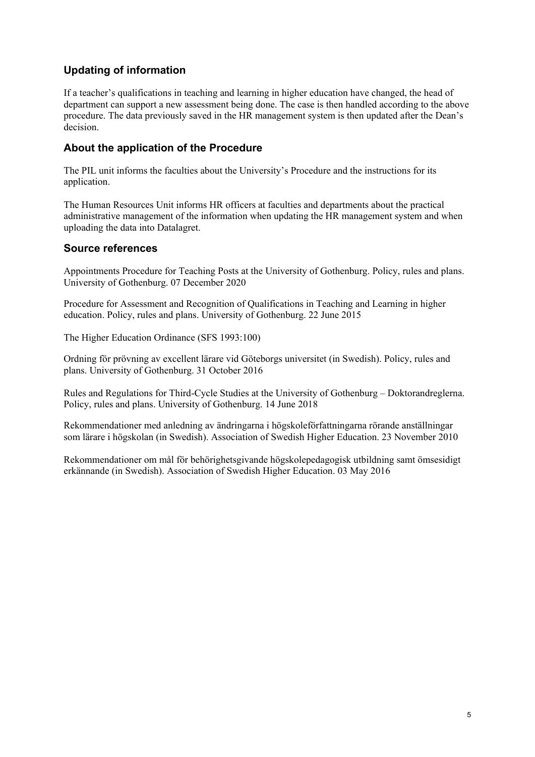# **Updating of information**

If a teacher's qualifications in teaching and learning in higher education have changed, the head of department can support a new assessment being done. The case is then handled according to the above procedure. The data previously saved in the HR management system is then updated after the Dean's decision.

# **About the application of the Procedure**

The PIL unit informs the faculties about the University's Procedure and the instructions for its application.

The Human Resources Unit informs HR officers at faculties and departments about the practical administrative management of the information when updating the HR management system and when uploading the data into Datalagret.

### **Source references**

Appointments Procedure for Teaching Posts at the University of Gothenburg. Policy, rules and plans. University of Gothenburg. 07 December 2020

Procedure for Assessment and Recognition of Qualifications in Teaching and Learning in higher education. Policy, rules and plans. University of Gothenburg. 22 June 2015

The Higher Education Ordinance (SFS 1993:100)

Ordning för prövning av excellent lärare vid Göteborgs universitet (in Swedish). Policy, rules and plans. University of Gothenburg. 31 October 2016

Rules and Regulations for Third-Cycle Studies at the University of Gothenburg – Doktorandreglerna. Policy, rules and plans. University of Gothenburg. 14 June 2018

Rekommendationer med anledning av ändringarna i högskoleförfattningarna rörande anställningar som lärare i högskolan (in Swedish). Association of Swedish Higher Education. 23 November 2010

Rekommendationer om mål för behörighetsgivande högskolepedagogisk utbildning samt ömsesidigt erkännande (in Swedish). Association of Swedish Higher Education. 03 May 2016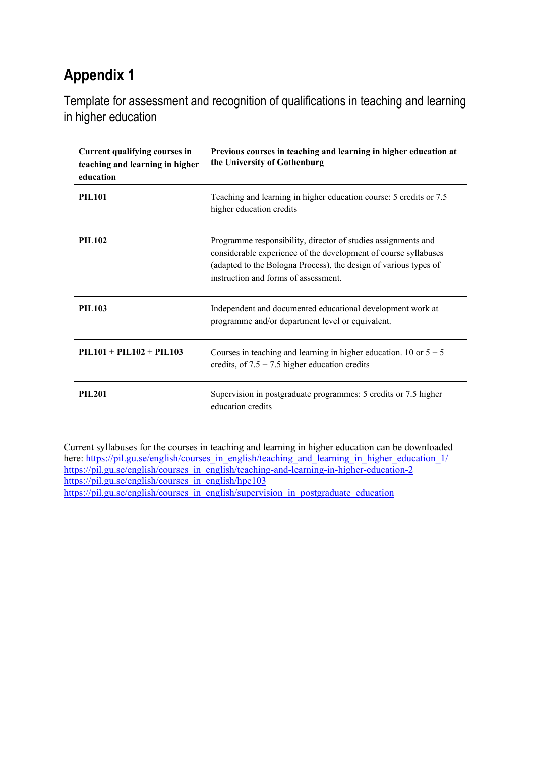Template for assessment and recognition of qualifications in teaching and learning in higher education

| Current qualifying courses in<br>teaching and learning in higher<br>education | Previous courses in teaching and learning in higher education at<br>the University of Gothenburg                                                                                                                                             |
|-------------------------------------------------------------------------------|----------------------------------------------------------------------------------------------------------------------------------------------------------------------------------------------------------------------------------------------|
| <b>PIL101</b>                                                                 | Teaching and learning in higher education course: 5 credits or 7.5<br>higher education credits                                                                                                                                               |
| <b>PIL102</b>                                                                 | Programme responsibility, director of studies assignments and<br>considerable experience of the development of course syllabuses<br>(adapted to the Bologna Process), the design of various types of<br>instruction and forms of assessment. |
| <b>PIL103</b>                                                                 | Independent and documented educational development work at<br>programme and/or department level or equivalent.                                                                                                                               |
| $PIL101 + PIL102 + PIL103$                                                    | Courses in teaching and learning in higher education. 10 or $5 + 5$<br>credits, of $7.5 + 7.5$ higher education credits                                                                                                                      |
| <b>PIL201</b>                                                                 | Supervision in postgraduate programmes: 5 credits or 7.5 higher<br>education credits                                                                                                                                                         |

Current syllabuses for the courses in teaching and learning in higher education can be downloaded here: [https://pil.gu.se/english/courses\\_in\\_english/teaching\\_and\\_learning\\_in\\_higher\\_education\\_1/](https://pil.gu.se/english/courses_in_english/teaching_and_learning_in_higher_education_1/) [https://pil.gu.se/english/courses\\_in\\_english/teaching-and-learning-in-higher-education-2](https://pil.gu.se/english/courses_in_english/teaching-and-learning-in-higher-education-2) [https://pil.gu.se/english/courses\\_in\\_english/hpe103](https://pil.gu.se/english/courses_in_english/hpe103) [https://pil.gu.se/english/courses\\_in\\_english/supervision\\_in\\_postgraduate\\_education](https://pil.gu.se/english/courses_in_english/supervision_in_postgraduate_education)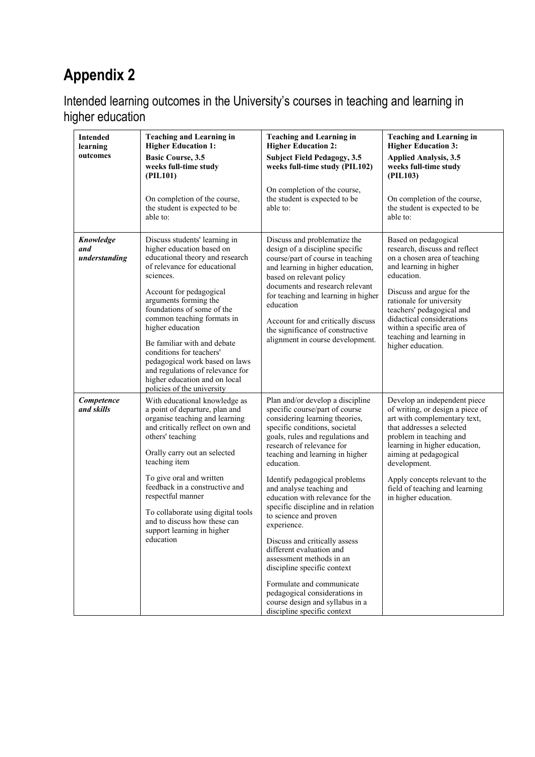Intended learning outcomes in the University's courses in teaching and learning in higher education

| <b>Intended</b><br>learning<br>outcomes | <b>Teaching and Learning in</b><br><b>Higher Education 1:</b><br><b>Basic Course, 3.5</b><br>weeks full-time study<br>(PIL101)                                                                                                                                                                                                                                                                                                                                                 | <b>Teaching and Learning in</b><br><b>Higher Education 2:</b><br><b>Subject Field Pedagogy, 3.5</b><br>weeks full-time study (PIL102)<br>On completion of the course,                                                                                                                                                                                                                                                                                                                                                                                                                                                                                                                           | <b>Teaching and Learning in</b><br><b>Higher Education 3:</b><br><b>Applied Analysis, 3.5</b><br>weeks full-time study<br>(PIL103)                                                                                                                                                                                             |
|-----------------------------------------|--------------------------------------------------------------------------------------------------------------------------------------------------------------------------------------------------------------------------------------------------------------------------------------------------------------------------------------------------------------------------------------------------------------------------------------------------------------------------------|-------------------------------------------------------------------------------------------------------------------------------------------------------------------------------------------------------------------------------------------------------------------------------------------------------------------------------------------------------------------------------------------------------------------------------------------------------------------------------------------------------------------------------------------------------------------------------------------------------------------------------------------------------------------------------------------------|--------------------------------------------------------------------------------------------------------------------------------------------------------------------------------------------------------------------------------------------------------------------------------------------------------------------------------|
|                                         | On completion of the course,<br>the student is expected to be<br>able to:                                                                                                                                                                                                                                                                                                                                                                                                      | the student is expected to be<br>able to:                                                                                                                                                                                                                                                                                                                                                                                                                                                                                                                                                                                                                                                       | On completion of the course,<br>the student is expected to be<br>able to:                                                                                                                                                                                                                                                      |
| Knowledge<br>and<br>understanding       | Discuss students' learning in<br>higher education based on<br>educational theory and research<br>of relevance for educational<br>sciences.<br>Account for pedagogical<br>arguments forming the<br>foundations of some of the<br>common teaching formats in<br>higher education<br>Be familiar with and debate<br>conditions for teachers'<br>pedagogical work based on laws<br>and regulations of relevance for<br>higher education and on local<br>policies of the university | Discuss and problematize the<br>design of a discipline specific<br>course/part of course in teaching<br>and learning in higher education,<br>based on relevant policy<br>documents and research relevant<br>for teaching and learning in higher<br>education<br>Account for and critically discuss<br>the significance of constructive<br>alignment in course development.                                                                                                                                                                                                                                                                                                                      | Based on pedagogical<br>research, discuss and reflect<br>on a chosen area of teaching<br>and learning in higher<br>education.<br>Discuss and argue for the<br>rationale for university<br>teachers' pedagogical and<br>didactical considerations<br>within a specific area of<br>teaching and learning in<br>higher education. |
| Competence<br>and skills                | With educational knowledge as<br>a point of departure, plan and<br>organise teaching and learning<br>and critically reflect on own and<br>others' teaching<br>Orally carry out an selected<br>teaching item<br>To give oral and written<br>feedback in a constructive and<br>respectful manner<br>To collaborate using digital tools<br>and to discuss how these can<br>support learning in higher<br>education                                                                | Plan and/or develop a discipline<br>specific course/part of course<br>considering learning theories,<br>specific conditions, societal<br>goals, rules and regulations and<br>research of relevance for<br>teaching and learning in higher<br>education.<br>Identify pedagogical problems<br>and analyse teaching and<br>education with relevance for the<br>specific discipline and in relation<br>to science and proven<br>experience.<br>Discuss and critically assess<br>different evaluation and<br>assessment methods in an<br>discipline specific context<br>Formulate and communicate<br>pedagogical considerations in<br>course design and syllabus in a<br>discipline specific context | Develop an independent piece<br>of writing, or design a piece of<br>art with complementary text,<br>that addresses a selected<br>problem in teaching and<br>learning in higher education,<br>aiming at pedagogical<br>development.<br>Apply concepts relevant to the<br>field of teaching and learning<br>in higher education. |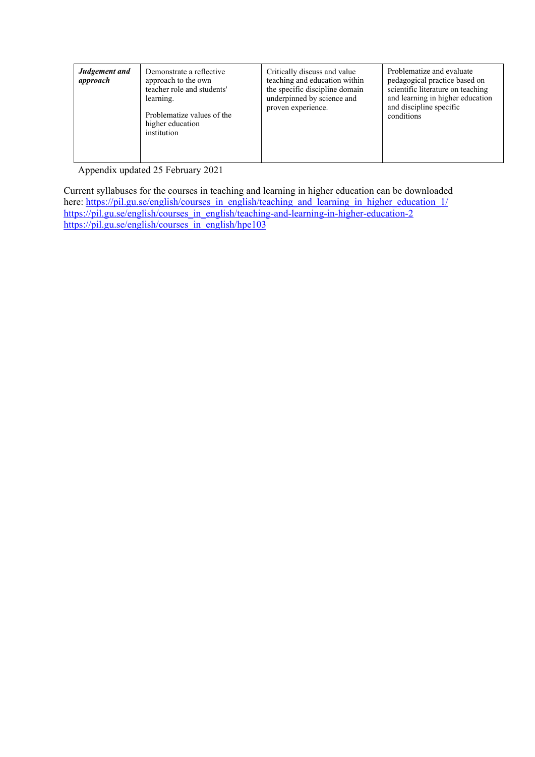| Judgement and<br>approach | Demonstrate a reflective<br>approach to the own<br>teacher role and students'<br>learning.<br>Problematize values of the<br>higher education<br>institution | Critically discuss and value<br>teaching and education within<br>the specific discipline domain<br>underpinned by science and<br>proven experience. | Problematize and evaluate<br>pedagogical practice based on<br>scientific literature on teaching<br>and learning in higher education<br>and discipline specific<br>conditions |
|---------------------------|-------------------------------------------------------------------------------------------------------------------------------------------------------------|-----------------------------------------------------------------------------------------------------------------------------------------------------|------------------------------------------------------------------------------------------------------------------------------------------------------------------------------|
|                           |                                                                                                                                                             |                                                                                                                                                     |                                                                                                                                                                              |

Appendix updated 25 February 2021

Current syllabuses for the courses in teaching and learning in higher education can be downloaded here: [https://pil.gu.se/english/courses\\_in\\_english/teaching\\_and\\_learning\\_in\\_higher\\_education\\_1/](https://pil.gu.se/english/courses_in_english/teaching_and_learning_in_higher_education_1/) [https://pil.gu.se/english/courses\\_in\\_english/teaching-and-learning-in-higher-education-2](https://pil.gu.se/english/courses_in_english/teaching-and-learning-in-higher-education-2) [https://pil.gu.se/english/courses\\_in\\_english/hpe103](https://pil.gu.se/english/courses_in_english/hpe103)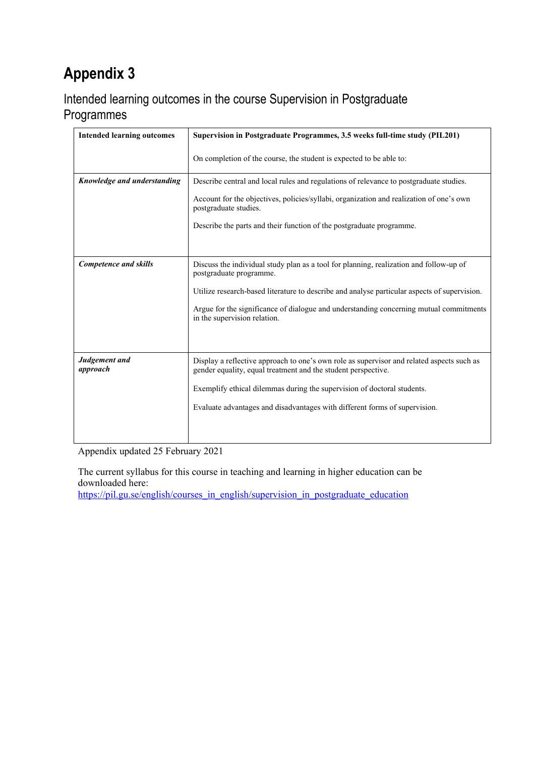# Intended learning outcomes in the course Supervision in Postgraduate Programmes

| <b>Intended learning outcomes</b> | Supervision in Postgraduate Programmes, 3.5 weeks full-time study (PIL201)                                                                                 |  |
|-----------------------------------|------------------------------------------------------------------------------------------------------------------------------------------------------------|--|
|                                   | On completion of the course, the student is expected to be able to:                                                                                        |  |
| Knowledge and understanding       | Describe central and local rules and regulations of relevance to postgraduate studies.                                                                     |  |
|                                   | Account for the objectives, policies/syllabi, organization and realization of one's own<br>postgraduate studies.                                           |  |
|                                   | Describe the parts and their function of the postgraduate programme.                                                                                       |  |
|                                   |                                                                                                                                                            |  |
| <b>Competence and skills</b>      | Discuss the individual study plan as a tool for planning, realization and follow-up of<br>postgraduate programme.                                          |  |
|                                   | Utilize research-based literature to describe and analyse particular aspects of supervision.                                                               |  |
|                                   | Argue for the significance of dialogue and understanding concerning mutual commitments<br>in the supervision relation.                                     |  |
|                                   |                                                                                                                                                            |  |
| Judgement and<br>approach         | Display a reflective approach to one's own role as supervisor and related aspects such as<br>gender equality, equal treatment and the student perspective. |  |
|                                   | Exemplify ethical dilemmas during the supervision of doctoral students.                                                                                    |  |
|                                   | Evaluate advantages and disadvantages with different forms of supervision.                                                                                 |  |
|                                   |                                                                                                                                                            |  |

Appendix updated 25 February 2021

The current syllabus for this course in teaching and learning in higher education can be downloaded here:

[https://pil.gu.se/english/courses\\_in\\_english/supervision\\_in\\_postgraduate\\_education](https://pil.gu.se/english/courses_in_english/supervision_in_postgraduate_education)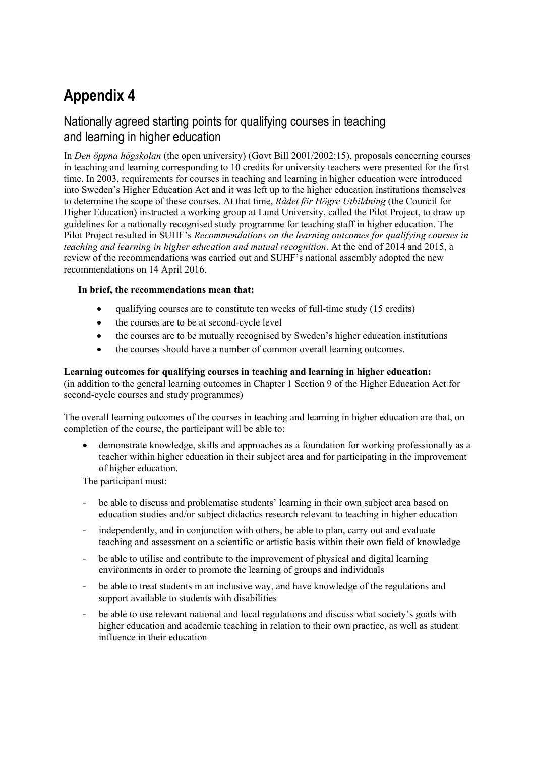# Nationally agreed starting points for qualifying courses in teaching and learning in higher education

In *Den öppna högskolan* (the open university) (Govt Bill 2001/2002:15), proposals concerning courses in teaching and learning corresponding to 10 credits for university teachers were presented for the first time. In 2003, requirements for courses in teaching and learning in higher education were introduced into Sweden's Higher Education Act and it was left up to the higher education institutions themselves to determine the scope of these courses. At that time, *Rådet för Högre Utbildning* (the Council for Higher Education) instructed a working group at Lund University, called the Pilot Project, to draw up guidelines for a nationally recognised study programme for teaching staff in higher education. The Pilot Project resulted in SUHF's *Recommendations on the learning outcomes for qualifying courses in teaching and learning in higher education and mutual recognition*. At the end of 2014 and 2015, a review of the recommendations was carried out and SUHF's national assembly adopted the new recommendations on 14 April 2016.

#### **In brief, the recommendations mean that:**

- qualifying courses are to constitute ten weeks of full-time study (15 credits)
- the courses are to be at second-cycle level
- the courses are to be mutually recognised by Sweden's higher education institutions
- the courses should have a number of common overall learning outcomes.

#### **Learning outcomes for qualifying courses in teaching and learning in higher education:**

(in addition to the general learning outcomes in Chapter 1 Section 9 of the Higher Education Act for second-cycle courses and study programmes)

The overall learning outcomes of the courses in teaching and learning in higher education are that, on completion of the course, the participant will be able to:

• demonstrate knowledge, skills and approaches as a foundation for working professionally as a teacher within higher education in their subject area and for participating in the improvement of higher education.

The participant must:

- be able to discuss and problematise students' learning in their own subject area based on education studies and/or subject didactics research relevant to teaching in higher education
- independently, and in conjunction with others, be able to plan, carry out and evaluate teaching and assessment on a scientific or artistic basis within their own field of knowledge
- be able to utilise and contribute to the improvement of physical and digital learning environments in order to promote the learning of groups and individuals
- be able to treat students in an inclusive way, and have knowledge of the regulations and support available to students with disabilities
- be able to use relevant national and local regulations and discuss what society's goals with higher education and academic teaching in relation to their own practice, as well as student influence in their education